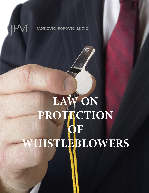## **JPM** JANKOVIĆ POPOVIĆ MITIĆ

## **LAW ON PROTECTION OF WHISTLEBLOWERS**